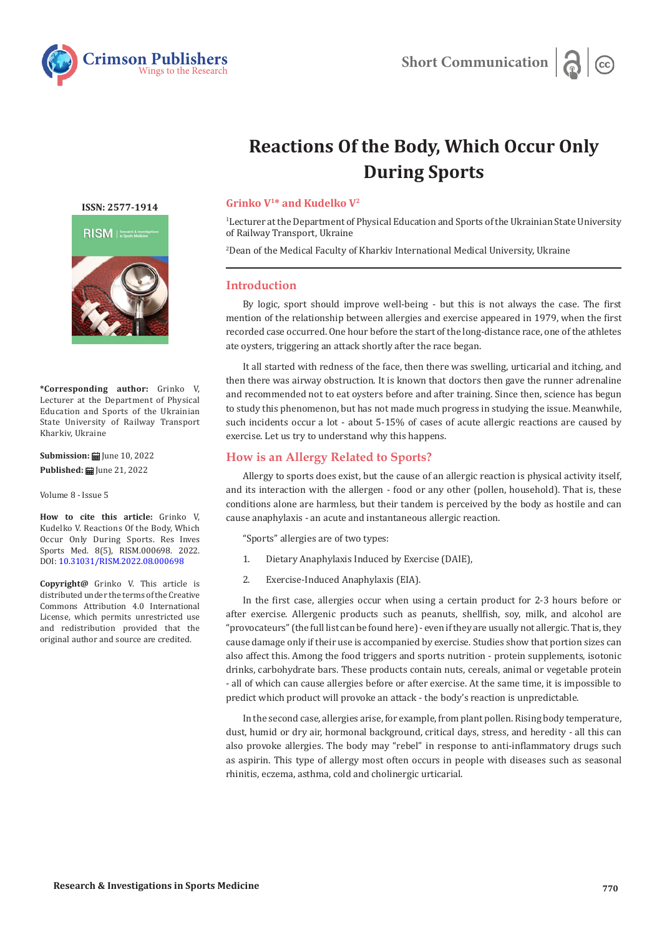

# **Reactions Of the Body, Which Occur Only During Sports**

**ISSN: 2577-1914**



**\*Corresponding author:** Grinko V, Lecturer at the Department of Physical Education and Sports of the Ukrainian State University of Railway Transport Kharkiv, Ukraine

**Submission: iii** June 10, 2022 **Published: | June 21, 2022** 

Volume 8 - Issue 5

**How to cite this article:** Grinko V, Kudelko V. Reactions Of the Body, Which Occur Only During Sports. Res Inves Sports Med. 8(5), RISM.000698. 2022. DOI: [10.31031/RISM.2022.08.000698](http://dx.doi.org/10.31031/RISM.2022.08.000698)

**Copyright@** Grinko V. This article is distributed under the terms of the Creative Commons Attribution 4.0 International License, which permits unrestricted use and redistribution provided that the original author and source are credited.

#### **Grinko V1\* and Kudelko V2**

1 Lecturer at the Department of Physical Education and Sports of the Ukrainian State University of Railway Transport, Ukraine

2 Dean of the Medical Faculty of Kharkiv International Medical University, Ukraine

## **Introduction**

By logic, sport should improve well-being - but this is not always the case. The first mention of the relationship between allergies and exercise appeared in 1979, when the first recorded case occurred. One hour before the start of the long-distance race, one of the athletes ate oysters, triggering an attack shortly after the race began.

It all started with redness of the face, then there was swelling, urticarial and itching, and then there was airway obstruction. It is known that doctors then gave the runner adrenaline and recommended not to eat oysters before and after training. Since then, science has begun to study this phenomenon, but has not made much progress in studying the issue. Meanwhile, such incidents occur a lot - about 5-15% of cases of acute allergic reactions are caused by exercise. Let us try to understand why this happens.

## **How is an Allergy Related to Sports?**

Allergy to sports does exist, but the cause of an allergic reaction is physical activity itself, and its interaction with the allergen - food or any other (pollen, household). That is, these conditions alone are harmless, but their tandem is perceived by the body as hostile and can cause anaphylaxis - an acute and instantaneous allergic reaction.

"Sports" allergies are of two types:

- 1. Dietary Anaphylaxis Induced by Exercise (DAIE),
- 2. Exercise-Induced Anaphylaxis (EIA).

In the first case, allergies occur when using a certain product for 2-3 hours before or after exercise. Allergenic products such as peanuts, shellfish, soy, milk, and alcohol are "provocateurs" (the full list can be found here) - even if they are usually not allergic. That is, they cause damage only if their use is accompanied by exercise. Studies show that portion sizes can also affect this. Among the food triggers and sports nutrition - protein supplements, isotonic drinks, carbohydrate bars. These products contain nuts, cereals, animal or vegetable protein - all of which can cause allergies before or after exercise. At the same time, it is impossible to predict which product will provoke an attack - the body's reaction is unpredictable.

In the second case, allergies arise, for example, from plant pollen. Rising body temperature, dust, humid or dry air, hormonal background, critical days, stress, and heredity - all this can also provoke allergies. The body may "rebel" in response to anti-inflammatory drugs such as aspirin. This type of allergy most often occurs in people with diseases such as seasonal rhinitis, eczema, asthma, cold and cholinergic urticarial.